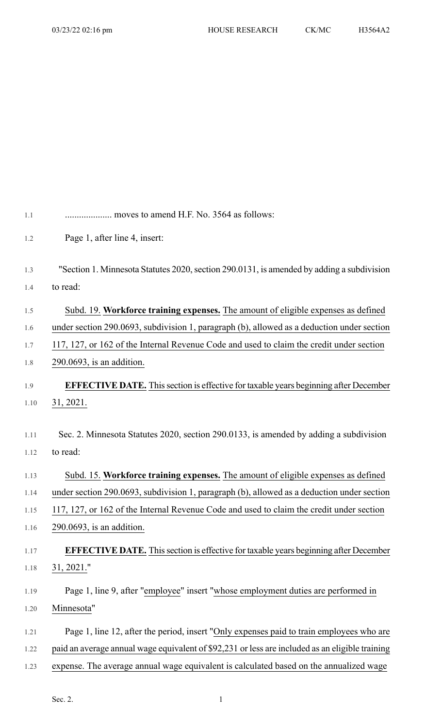| 1.1  | moves to amend H.F. No. 3564 as follows:                                                        |
|------|-------------------------------------------------------------------------------------------------|
| 1.2  | Page 1, after line 4, insert:                                                                   |
|      |                                                                                                 |
| 1.3  | "Section 1. Minnesota Statutes 2020, section 290.0131, is amended by adding a subdivision       |
| 1.4  | to read:                                                                                        |
| 1.5  | Subd. 19. Workforce training expenses. The amount of eligible expenses as defined               |
| 1.6  | under section 290.0693, subdivision 1, paragraph (b), allowed as a deduction under section      |
| 1.7  | 117, 127, or 162 of the Internal Revenue Code and used to claim the credit under section        |
| 1.8  | $290.0693$ , is an addition.                                                                    |
| 1.9  | <b>EFFECTIVE DATE.</b> This section is effective for taxable years beginning after December     |
| 1.10 | 31, 2021.                                                                                       |
|      |                                                                                                 |
| 1.11 | Sec. 2. Minnesota Statutes 2020, section 290.0133, is amended by adding a subdivision           |
| 1.12 | to read:                                                                                        |
| 1.13 | Subd. 15. Workforce training expenses. The amount of eligible expenses as defined               |
| 1.14 | under section 290.0693, subdivision 1, paragraph (b), allowed as a deduction under section      |
| 1.15 | 117, 127, or 162 of the Internal Revenue Code and used to claim the credit under section        |
| 1.16 | $290.0693$ , is an addition.                                                                    |
| 1.17 | <b>EFFECTIVE DATE.</b> This section is effective for taxable years beginning after December     |
| 1.18 | 31, 2021."                                                                                      |
| 1.19 | Page 1, line 9, after "employee" insert "whose employment duties are performed in               |
| 1.20 | Minnesota"                                                                                      |
|      |                                                                                                 |
| 1.21 | Page 1, line 12, after the period, insert "Only expenses paid to train employees who are        |
| 1.22 | paid an average annual wage equivalent of \$92,231 or less are included as an eligible training |
| 1.23 | expense. The average annual wage equivalent is calculated based on the annualized wage          |